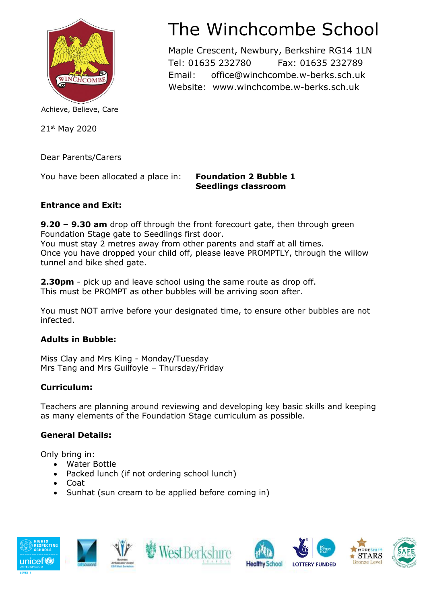

#### Achieve, Believe, Care

21st May 2020

Dear Parents/Carers

You have been allocated a place in: **Foundation 2 Bubble 1**

**Seedlings classroom**

## **Entrance and Exit:**

**9.20 – 9.30 am** drop off through the front forecourt gate, then through green Foundation Stage gate to Seedlings first door.

You must stay 2 metres away from other parents and staff at all times. Once you have dropped your child off, please leave PROMPTLY, through the willow tunnel and bike shed gate.

**2.30pm** - pick up and leave school using the same route as drop off. This must be PROMPT as other bubbles will be arriving soon after.

You must NOT arrive before your designated time, to ensure other bubbles are not infected.

### **Adults in Bubble:**

Miss Clay and Mrs King - Monday/Tuesday Mrs Tang and Mrs Guilfoyle – Thursday/Friday

## **Curriculum:**

Teachers are planning around reviewing and developing key basic skills and keeping as many elements of the Foundation Stage curriculum as possible.

### **General Details:**

Only bring in:

- Water Bottle
- Packed lunch (if not ordering school lunch)
- Coat
- Sunhat (sun cream to be applied before coming in)













# The Winchcombe School

Maple Crescent, Newbury, Berkshire RG14 1LN Tel: 01635 232780 Fax: 01635 232789 Email: office@winchcombe.w-berks.sch.uk Website: www.winchcombe.w-berks.sch.uk